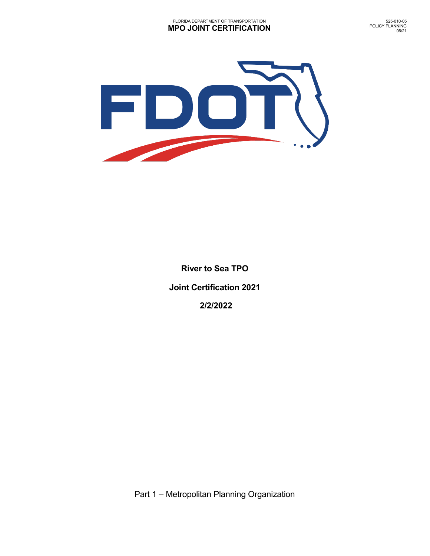

**River to Sea TPO Joint Certification 2021 2/2/2022**

Part 1 – Metropolitan Planning Organization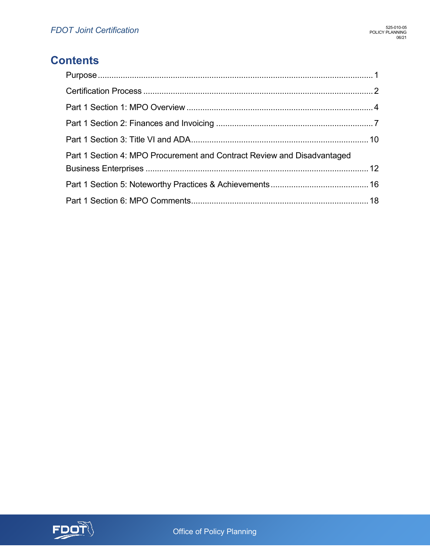## **Contents**

| Part 1 Section 4: MPO Procurement and Contract Review and Disadvantaged |  |
|-------------------------------------------------------------------------|--|
|                                                                         |  |
|                                                                         |  |
|                                                                         |  |

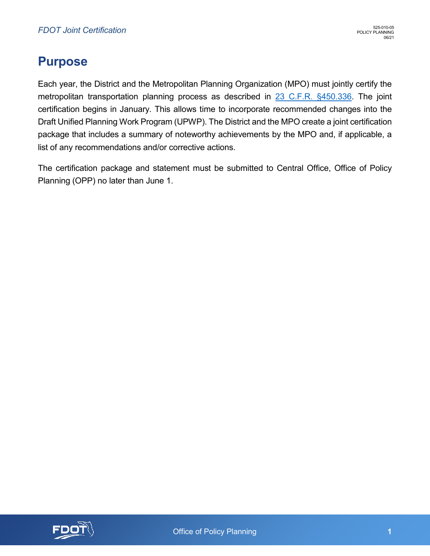## <span id="page-2-0"></span>**Purpose**

Each year, the District and the Metropolitan Planning Organization (MPO) must jointly certify the metropolitan transportation planning process as described in [23 C.F.R. §450.336.](https://www.ecfr.gov/cgi-bin/text-idx?SID=713f0f14d1bc99b15878c7759d1c7bdb&mc=true&node=se23.1.450_1336&rgn=div8) The joint certification begins in January. This allows time to incorporate recommended changes into the Draft Unified Planning Work Program (UPWP). The District and the MPO create a joint certification package that includes a summary of noteworthy achievements by the MPO and, if applicable, a list of any recommendations and/or corrective actions.

The certification package and statement must be submitted to Central Office, Office of Policy Planning (OPP) no later than June 1.

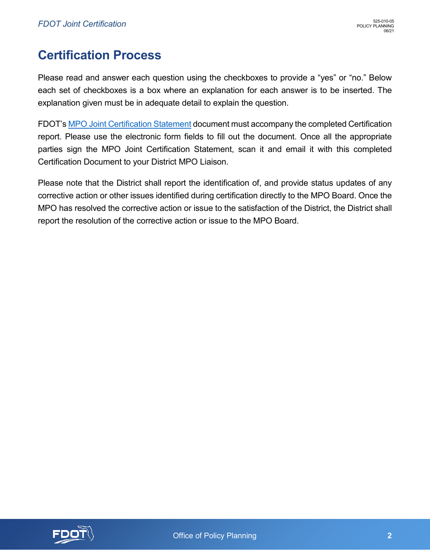## <span id="page-3-0"></span>**Certification Process**

Please read and answer each question using the checkboxes to provide a "yes" or "no." Below each set of checkboxes is a box where an explanation for each answer is to be inserted. The explanation given must be in adequate detail to explain the question.

FDOT's [MPO Joint Certification Statement](https://pdl.fdot.gov/api/form/downloadAttachment/10980767) document must accompany the completed Certification report. Please use the electronic form fields to fill out the document. Once all the appropriate parties sign the MPO Joint Certification Statement, scan it and email it with this completed Certification Document to your District MPO Liaison.

Please note that the District shall report the identification of, and provide status updates of any corrective action or other issues identified during certification directly to the MPO Board. Once the MPO has resolved the corrective action or issue to the satisfaction of the District, the District shall report the resolution of the corrective action or issue to the MPO Board.

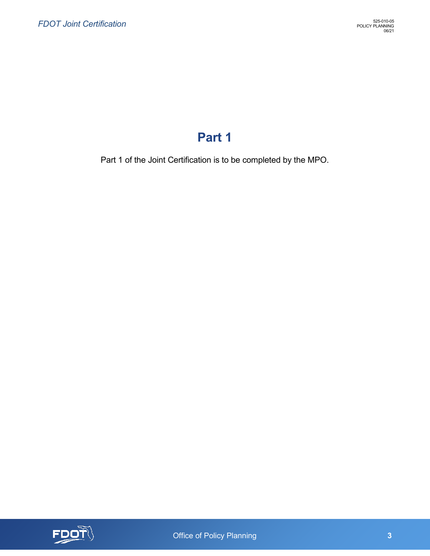# **Part 1**

Part 1 of the Joint Certification is to be completed by the MPO.



Office of Policy Planning **3 3**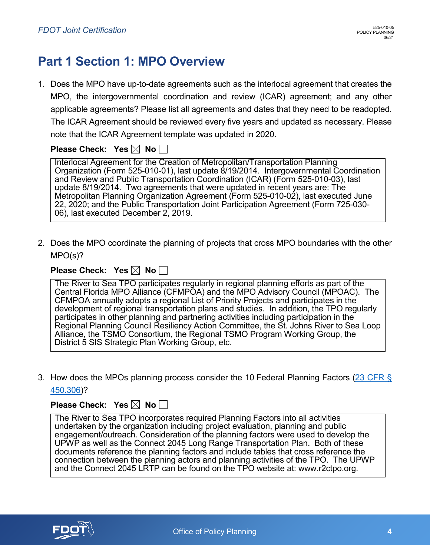# <span id="page-5-0"></span>**Part 1 Section 1: MPO Overview**

1. Does the MPO have up-to-date agreements such as the interlocal agreement that creates the MPO, the intergovernmental coordination and review (ICAR) agreement; and any other applicable agreements? Please list all agreements and dates that they need to be readopted. The ICAR Agreement should be reviewed every five years and updated as necessary. Please note that the ICAR Agreement template was updated in 2020.

### **Please Check: Yes**  $\boxtimes$  **No**  $\Box$

Interlocal Agreement for the Creation of Metropolitan/Transportation Planning Organization (Form 525-010-01), last update 8/19/2014. Intergovernmental Coordination and Review and Public Transportation Coordination (ICAR) (Form 525-010-03), last update 8/19/2014. Two agreements that were updated in recent years are: The Metropolitan Planning Organization Agreement (Form 525-010-02), last executed June 22, 2020; and the Public Transportation Joint Participation Agreement (Form 725-030- 06), last executed December 2, 2019.

2. Does the MPO coordinate the planning of projects that cross MPO boundaries with the other MPO(s)?

### **Please Check: Yes**  $\boxtimes$  **No**  $\Box$

The River to Sea TPO participates regularly in regional planning efforts as part of the Central Florida MPO Alliance (CFMPOA) and the MPO Advisory Council (MPOAC). The CFMPOA annually adopts a regional List of Priority Projects and participates in the development of regional transportation plans and studies. In addition, the TPO regularly participates in other planning and partnering activities including participation in the Regional Planning Council Resiliency Action Committee, the St. Johns River to Sea Loop Alliance, the TSMO Consortium, the Regional TSMO Program Working Group, the District 5 SIS Strategic Plan Working Group, etc.

3. How does the MPOs planning process consider the 10 Federal Planning Factors [\(23 CFR §](https://www.law.cornell.edu/cfr/text/23/450.306)  [450.306\)](https://www.law.cornell.edu/cfr/text/23/450.306)?

#### **Please Check: Yes**  $\boxtimes$  **No**  $\Box$

The River to Sea TPO incorporates required Planning Factors into all activities undertaken by the organization including project evaluation, planning and public engagement/outreach. Consideration of the planning factors were used to develop the UPWP as well as the Connect 2045 Long Range Transportation Plan. Both of these documents reference the planning factors and include tables that cross reference the connection between the planning actors and planning activities of the TPO. The UPWP and the Connect 2045 LRTP can be found on the TPO website at: www.r2ctpo.org.

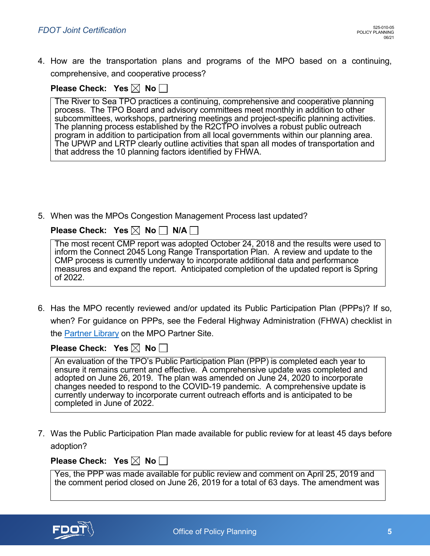4. How are the transportation plans and programs of the MPO based on a continuing, comprehensive, and cooperative process?

| Please Check: Yes $\boxtimes$ No $\square$ |  |  |  |  |
|--------------------------------------------|--|--|--|--|
|--------------------------------------------|--|--|--|--|

The River to Sea TPO practices a continuing, comprehensive and cooperative planning process. The TPO Board and advisory committees meet monthly in addition to other subcommittees, workshops, partnering meetings and project-specific planning activities. The planning process established by the R2CTPO involves a robust public outreach program in addition to participation from all local governments within our planning area. The UPWP and LRTP clearly outline activities that span all modes of transportation and that address the 10 planning factors identified by FHWA.

5. When was the MPOs Congestion Management Process last updated?

| Please Check: $\,$ Yes $\boxtimes\,$ No $\Box\,$ N/A $\Box\,$ |  |  |  |
|---------------------------------------------------------------|--|--|--|
|---------------------------------------------------------------|--|--|--|

| The most recent CMP report was adopted October 24, 2018 and the results were used to   |
|----------------------------------------------------------------------------------------|
| inform the Connect 2045 Long Range Transportation Plan. A review and update to the     |
| CMP process is currently underway to incorporate additional data and performance       |
| measures and expand the report. Anticipated completion of the updated report is Spring |
| of 2022.                                                                               |

6. Has the MPO recently reviewed and/or updated its Public Participation Plan (PPPs)? If so, when? For guidance on PPPs, see the Federal Highway Administration (FHWA) checklist in the [Partner Library](https://fldot.sharepoint.com/:x:/r/sites/FDOT-EXT-MPO/PartnerLibrary/PPP%20Review%20Sheet_MPO.xlsx?d=wd4340809f4b74a229d10330f78ce4116&csf=1&web=1&e=4E7SkV) on the MPO Partner Site.

**Please Check: Yes**  $\boxtimes$  **No**  $\Box$ 

| An evaluation of the TPO's Public Participation Plan (PPP) is completed each year to |
|--------------------------------------------------------------------------------------|
| ensure it remains current and effective. A comprehensive update was completed and    |
| adopted on June 26, 2019. The plan was amended on June 24, 2020 to incorporate       |
| changes needed to respond to the COVID-19 pandemic. A comprehensive update is        |
| currently underway to incorporate current outreach efforts and is anticipated to be  |
| completed in June of 2022.                                                           |

7. Was the Public Participation Plan made available for public review for at least 45 days before adoption?

**Please Check: Yes**  $\boxtimes$  **No**  $\Box$ 

Yes, the PPP was made available for public review and comment on April 25, 2019 and the comment period closed on June 26, 2019 for a total of 63 days. The amendment was

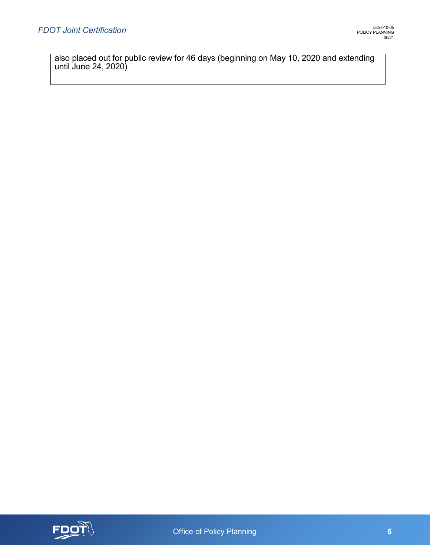also placed out for public review for 46 days (beginning on May 10, 2020 and extending until June 24, 2020)

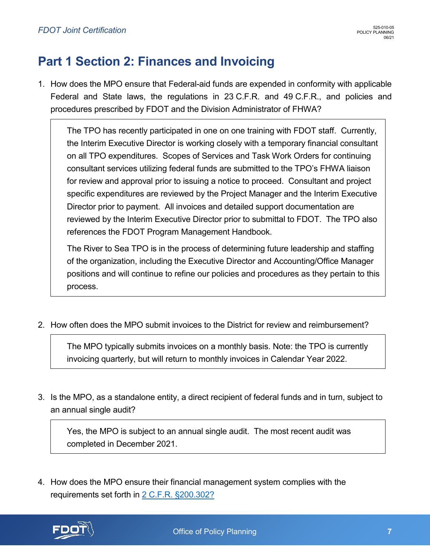# <span id="page-8-0"></span>**Part 1 Section 2: Finances and Invoicing**

1. How does the MPO ensure that Federal-aid funds are expended in conformity with applicable Federal and State laws, the regulations in 23 C.F.R. and 49 C.F.R., and policies and procedures prescribed by FDOT and the Division Administrator of FHWA?

The TPO has recently participated in one on one training with FDOT staff. Currently, the Interim Executive Director is working closely with a temporary financial consultant on all TPO expenditures. Scopes of Services and Task Work Orders for continuing consultant services utilizing federal funds are submitted to the TPO's FHWA liaison for review and approval prior to issuing a notice to proceed. Consultant and project specific expenditures are reviewed by the Project Manager and the Interim Executive Director prior to payment. All invoices and detailed support documentation are reviewed by the Interim Executive Director prior to submittal to FDOT. The TPO also references the FDOT Program Management Handbook.

The River to Sea TPO is in the process of determining future leadership and staffing of the organization, including the Executive Director and Accounting/Office Manager positions and will continue to refine our policies and procedures as they pertain to this process.

2. How often does the MPO submit invoices to the District for review and reimbursement?

The MPO typically submits invoices on a monthly basis. Note: the TPO is currently invoicing quarterly, but will return to monthly invoices in Calendar Year 2022.

3. Is the MPO, as a standalone entity, a direct recipient of federal funds and in turn, subject to an annual single audit?

Yes, the MPO is subject to an annual single audit. The most recent audit was completed in December 2021.

4. How does the MPO ensure their financial management system complies with the requirements set forth in 2 [C.F.R. §200.302?](https://www.ecfr.gov/cgi-bin/retrieveECFR?gp=&SID=&mc=true&n=sp2.1.200.d&r=SUBPART&ty=HTML#se2.1.200_1302)

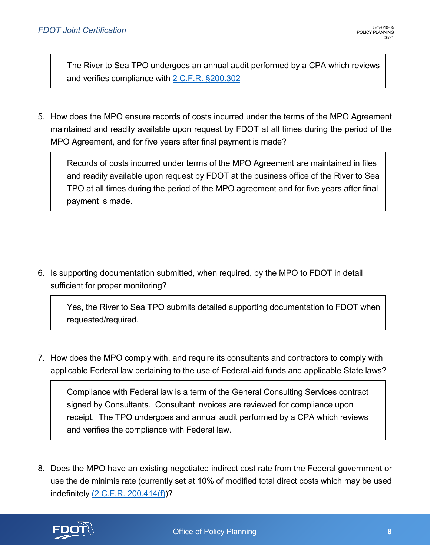The River to Sea TPO undergoes an annual audit performed by a CPA which reviews and verifies compliance with 2 [C.F.R. §200.302](https://www.ecfr.gov/cgi-bin/retrieveECFR?gp=&SID=&mc=true&n=sp2.1.200.d&r=SUBPART&ty=HTML#se2.1.200_1302)

5. How does the MPO ensure records of costs incurred under the terms of the MPO Agreement maintained and readily available upon request by FDOT at all times during the period of the MPO Agreement, and for five years after final payment is made?

Records of costs incurred under terms of the MPO Agreement are maintained in files and readily available upon request by FDOT at the business office of the River to Sea TPO at all times during the period of the MPO agreement and for five years after final payment is made.

6. Is supporting documentation submitted, when required, by the MPO to FDOT in detail sufficient for proper monitoring?

Yes, the River to Sea TPO submits detailed supporting documentation to FDOT when requested/required.

7. How does the MPO comply with, and require its consultants and contractors to comply with applicable Federal law pertaining to the use of Federal-aid funds and applicable State laws?

Compliance with Federal law is a term of the General Consulting Services contract signed by Consultants. Consultant invoices are reviewed for compliance upon receipt. The TPO undergoes and annual audit performed by a CPA which reviews and verifies the compliance with Federal law.

8. Does the MPO have an existing negotiated indirect cost rate from the Federal government or use the de minimis rate (currently set at 10% of modified total direct costs which may be used indefinitely [\(2 C.F.R. 200.414\(f\)\)](https://www.ecfr.gov/cgi-bin/text-idx?node=se2.1.200_1414&rgn=div8)?

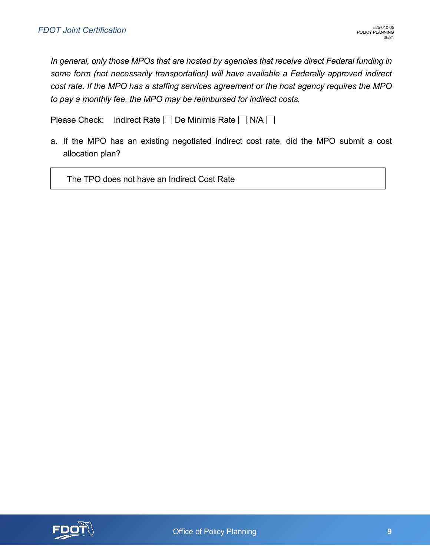*In general, only those MPOs that are hosted by agencies that receive direct Federal funding in some form (not necessarily transportation) will have available a Federally approved indirect cost rate. If the MPO has a staffing services agreement or the host agency requires the MPO to pay a monthly fee, the MPO may be reimbursed for indirect costs.*

Please Check: Indirect Rate  $\Box$  De Minimis Rate  $\Box$  N/A  $\Box$ 

a. If the MPO has an existing negotiated indirect cost rate, did the MPO submit a cost allocation plan?

The TPO does not have an Indirect Cost Rate

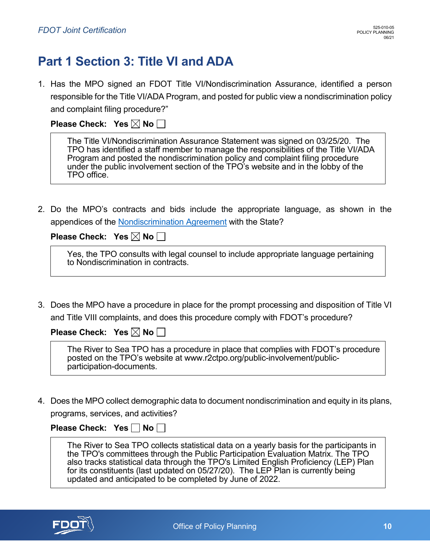# <span id="page-11-0"></span>**Part 1 Section 3: Title VI and ADA**

1. Has the MPO signed an FDOT Title VI/Nondiscrimination Assurance, identified a person responsible for the Title VI/ADA Program, and posted for public view a nondiscrimination policy and complaint filing procedure?"

**Please Check: Yes**  $\boxtimes$  **No**  $\Box$ 

| The Title VI/Nondiscrimination Assurance Statement was signed on 03/25/20. The                                                                                                     |
|------------------------------------------------------------------------------------------------------------------------------------------------------------------------------------|
| TPO has identified a staff member to manage the responsibilities of the Title VI/ADA                                                                                               |
| Program and posted the nondiscrimination policy and complaint filing procedure<br>under the public involvement section of the TPO's website and in the lobby of the<br>TPO office. |

2. Do the MPO's contracts and bids include the appropriate language, as shown in the appendices of the [Nondiscrimination Agreement](https://fdotwww.blob.core.windows.net/sitefinity/docs/default-source/equalopporunity/titlevi/title-vi-nondiscrimination-assurance1bd4ce71ad77490a99d0bf1c0c541475.pdf?sfvrsn=9a3870e_0) with the State?

**Please Check: Yes**  $\boxtimes$  **No**  $\Box$ 

|                                    | Yes, the TPO consults with legal counsel to include appropriate language pertaining |
|------------------------------------|-------------------------------------------------------------------------------------|
| to Nondiscrimination in contracts. |                                                                                     |

3. Does the MPO have a procedure in place for the prompt processing and disposition of Title VI and Title VIII complaints, and does this procedure comply with FDOT's procedure?

**Please Check: Yes**  $\boxtimes$  **No**  $\Box$ 

The River to Sea TPO has a procedure in place that complies with FDOT's procedure posted on the TPO's website at www.r2ctpo.org/public-involvement/public- participation-documents.

4. Does the MPO collect demographic data to document nondiscrimination and equity in its plans, programs, services, and activities?

**Please Check: Yes No |** 

The River to Sea TPO collects statistical data on a yearly basis for the participants in the TPO's committees through the Public Participation Evaluation Matrix. The TPO also tracks statistical data through the TPO's Limited English Proficiency (LEP) Plan for its constituents (last updated on 05/27/20). The LEP Plan is currently being updated and anticipated to be completed by June of 2022.

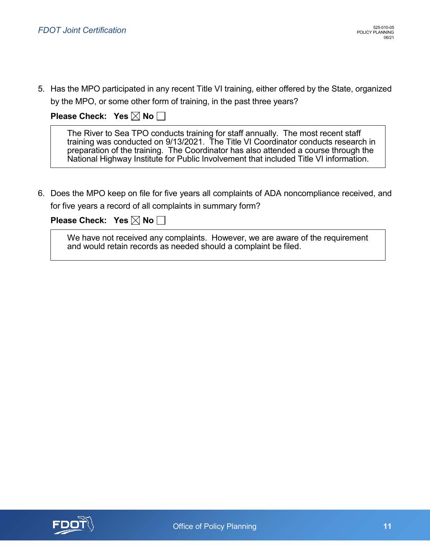5. Has the MPO participated in any recent Title VI training, either offered by the State, organized by the MPO, or some other form of training, in the past three years?

**Please Check: Yes**  $\boxtimes$  **No**  $\Box$ 

The River to Sea TPO conducts training for staff annually. The most recent staff training was conducted on 9/13/2021. The Title VI Coordinator conducts research in preparation of the training. The Coordinator has also attended a course through the National Highway Institute for Public Involvement that included Title VI information.

6. Does the MPO keep on file for five years all complaints of ADA noncompliance received, and for five years a record of all complaints in summary form?

### **Please Check: Yes**  $\boxtimes$  **No**  $\Box$

We have not received any complaints. However, we are aware of the requirement and would retain records as needed should a complaint be filed.

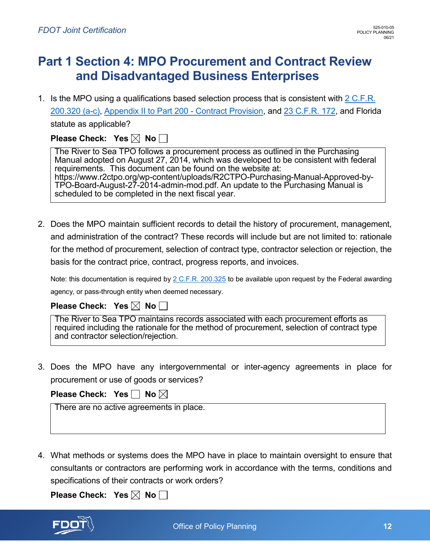## <span id="page-13-0"></span>**Part 1 Section 4: MPO Procurement and Contract Review and Disadvantaged Business Enterprises**

1. Is the MPO using a qualifications based selection process that is consistent with  $2 \text{ C.F.R.}$ [200.320 \(a-c\),](https://www.govinfo.gov/content/pkg/CFR-2016-title2-vol1/pdf/CFR-2016-title2-vol1-sec200-320.pdf) [Appendix II to Part 200 -](https://www.ecfr.gov/cgi-bin/text-idx?node=pt2.1.200&rgn=div5#ap2.1.200_1521.ii) Contract Provision, and [23 C.F.R. 172,](https://www.ecfr.gov/cgi-bin/text-idx?node=pt23.1.172&rgn=div5) and Florida statute as applicable?

| Please Check: Yes $\boxtimes$ No $\square$ |  |  |
|--------------------------------------------|--|--|
|--------------------------------------------|--|--|

The River to Sea TPO follows a procurement process as outlined in the Purchasing Manual adopted on August 27, 2014, which was developed to be consistent with federal requirements. This document can be found on the website at: https://www.r2ctpo.org/wp-content/uploads/R2CTPO-Purchasing-Manual-Approved-by-TPO-Board-August-27-2014-admin-mod.pdf. An update to the Purchasing Manual is scheduled to be completed in the next fiscal year.

2. Does the MPO maintain sufficient records to detail the history of procurement, management, and administration of the contract? These records will include but are not limited to: rationale for the method of procurement, selection of contract type, contractor selection or rejection, the basis for the contract price, contract, progress reports, and invoices.

Note: this documentation is required by [2 C.F.R. 200.325](https://www.ecfr.gov/cgi-bin/text-idx?node=pt2.1.200&rgn=div5#se2.1.200_1325) to be available upon request by the Federal awarding agency, or pass-through entity when deemed necessary.

### **Please Check: Yes**  $\boxtimes$  **No**  $\Box$

The River to Sea TPO maintains records associated with each procurement efforts as required including the rationale for the method of procurement, selection of contract type and contractor selection/rejection.

3. Does the MPO have any intergovernmental or inter-agency agreements in place for procurement or use of goods or services?

**Please Check: Yes No X** 

There are no active agreements in place.

4. What methods or systems does the MPO have in place to maintain oversight to ensure that consultants or contractors are performing work in accordance with the terms, conditions and specifications of their contracts or work orders?

**Please Check: Yes**  $\boxtimes$  **No**  $\Box$ 

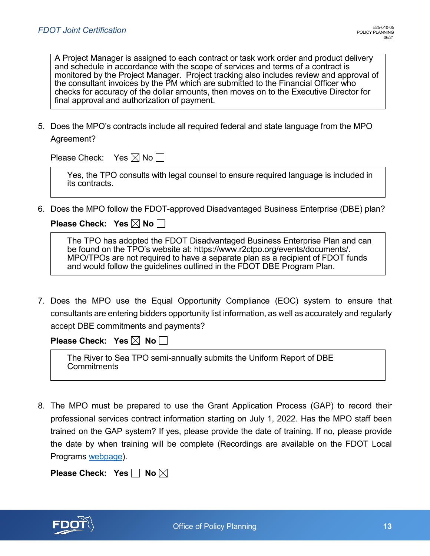A Project Manager is assigned to each contract or task work order and product delivery and schedule in accordance with the scope of services and terms of a contract is monitored by the Project Manager. Project tracking also includes review and approval of the consultant invoices by the PM which are submitted to the Financial Officer who checks for accuracy of the dollar amounts, then moves on to the Executive Director for final approval and authorization of payment.

5. Does the MPO's contracts include all required federal and state language from the MPO Agreement?

Please Check: Yes  $\boxtimes$  No  $\Box$ 

Yes, the TPO consults with legal counsel to ensure required language is included in its contracts.

6. Does the MPO follow the FDOT-approved Disadvantaged Business Enterprise (DBE) plan?

**Please Check: Yes**  $\boxtimes$  **No**  $\Box$ 

| The TPO has adopted the FDOT Disadvantaged Business Enterprise Plan and can                                                                                   |  |
|---------------------------------------------------------------------------------------------------------------------------------------------------------------|--|
| be found on the TPO's website at: https://www.r2ctpo.org/events/documents/.<br>MPO/TPOs are not required to have a separate plan as a recipient of FDOT funds |  |
| and would follow the guidelines outlined in the FDOT DBE Program Plan.                                                                                        |  |

7. Does the MPO use the Equal Opportunity Compliance (EOC) system to ensure that consultants are entering bidders opportunity list information, as well as accurately and regularly accept DBE commitments and payments?

**Please Check: Yes**  $\boxtimes$  **No**  $\Box$ 

The River to Sea TPO semi-annually submits the Uniform Report of DBE **Commitments** 

8. The MPO must be prepared to use the Grant Application Process (GAP) to record their professional services contract information starting on July 1, 2022. Has the MPO staff been trained on the GAP system? If yes, please provide the date of training. If no, please provide the date by when training will be complete (Recordings are available on the FDOT Local Programs [webpage\)](https://www.gotostage.com/channel/b14f2c1519a3434dbede1a217a9033d7/recording/05913d116cae4491a305748df786bdd6/watch).

| Please Check: Yes $\Box$ No $\boxtimes$ |  |  |  |
|-----------------------------------------|--|--|--|
|-----------------------------------------|--|--|--|

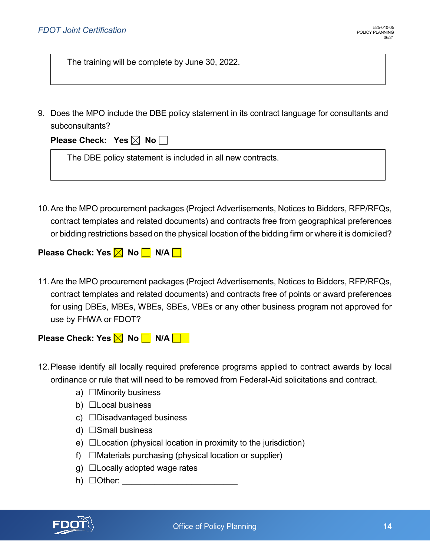The training will be complete by June 30, 2022.

9. Does the MPO include the DBE policy statement in its contract language for consultants and subconsultants?

| Please Check: Yes $\boxtimes$ No $\Box$ |  |  |
|-----------------------------------------|--|--|
|-----------------------------------------|--|--|

The DBE policy statement is included in all new contracts.

10.Are the MPO procurement packages (Project Advertisements, Notices to Bidders, RFP/RFQs, contract templates and related documents) and contracts free from geographical preferences or bidding restrictions based on the physical location of the bidding firm or where it is domiciled?

**Please Check: Yes**  $\times$  **No**  $\Box$  **N/A**  $\Box$ 

11.Are the MPO procurement packages (Project Advertisements, Notices to Bidders, RFP/RFQs, contract templates and related documents) and contracts free of points or award preferences for using DBEs, MBEs, WBEs, SBEs, VBEs or any other business program not approved for use by FHWA or FDOT?

**Please Check: Yes M No N/A | |** 

- 12.Please identify all locally required preference programs applied to contract awards by local ordinance or rule that will need to be removed from Federal-Aid solicitations and contract.
	- a)  $\Box$ Minority business
	- b)  $\Box$  Local business
	- c) □Disadvantaged business
	- d)  $\Box$  Small business
	- e)  $\Box$  Location (physical location in proximity to the jurisdiction)
	- f)  $\Box$ Materials purchasing (physical location or supplier)
	- $g)$   $\Box$  Locally adopted wage rates
	- h) ☐Other: \_\_\_\_\_\_\_\_\_\_\_\_\_\_\_\_\_\_\_\_\_\_\_\_\_

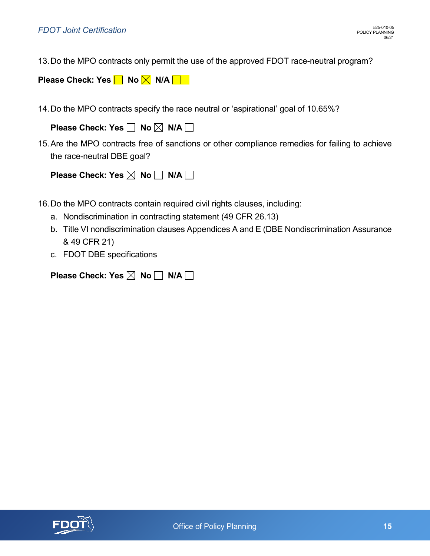13.Do the MPO contracts only permit the use of the approved FDOT race-neutral program?

**Please Check: Yes | No X N/A | N** 

14.Do the MPO contracts specify the race neutral or 'aspirational' goal of 10.65%?

| Please Check: Yes □ No ⊠ N/A □ |  |  |  |
|--------------------------------|--|--|--|
|--------------------------------|--|--|--|

15.Are the MPO contracts free of sanctions or other compliance remedies for failing to achieve the race-neutral DBE goal?

| Please Check: Yes $\boxtimes$ No $\Box$ N/A $\Box$ |  |  |  |
|----------------------------------------------------|--|--|--|
|----------------------------------------------------|--|--|--|

- 16.Do the MPO contracts contain required civil rights clauses, including:
	- a. Nondiscrimination in contracting statement (49 CFR 26.13)
	- b. Title VI nondiscrimination clauses Appendices A and E (DBE Nondiscrimination Assurance & 49 CFR 21)
	- c. FDOT DBE specifications

| Please Check: Yes $\boxtimes$ No $\Box$ N/A $\Box$ |  |  |  |
|----------------------------------------------------|--|--|--|
|----------------------------------------------------|--|--|--|

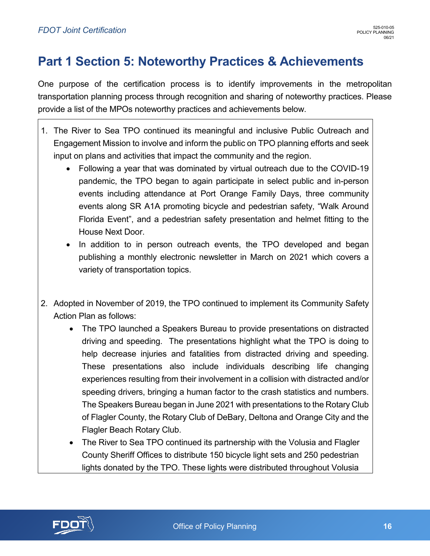# <span id="page-17-0"></span>**Part 1 Section 5: Noteworthy Practices & Achievements**

One purpose of the certification process is to identify improvements in the metropolitan transportation planning process through recognition and sharing of noteworthy practices. Please provide a list of the MPOs noteworthy practices and achievements below.

- 1. The River to Sea TPO continued its meaningful and inclusive Public Outreach and Engagement Mission to involve and inform the public on TPO planning efforts and seek input on plans and activities that impact the community and the region.
	- Following a year that was dominated by virtual outreach due to the COVID-19 pandemic, the TPO began to again participate in select public and in-person events including attendance at Port Orange Family Days, three community events along SR A1A promoting bicycle and pedestrian safety, "Walk Around Florida Event", and a pedestrian safety presentation and helmet fitting to the House Next Door.
	- In addition to in person outreach events, the TPO developed and began publishing a monthly electronic newsletter in March on 2021 which covers a variety of transportation topics.
- 2. Adopted in November of 2019, the TPO continued to implement its Community Safety Action Plan as follows:
	- The TPO launched a Speakers Bureau to provide presentations on distracted driving and speeding. The presentations highlight what the TPO is doing to help decrease injuries and fatalities from distracted driving and speeding. These presentations also include individuals describing life changing experiences resulting from their involvement in a collision with distracted and/or speeding drivers, bringing a human factor to the crash statistics and numbers. The Speakers Bureau began in June 2021 with presentations to the Rotary Club of Flagler County, the Rotary Club of DeBary, Deltona and Orange City and the Flagler Beach Rotary Club.
	- The River to Sea TPO continued its partnership with the Volusia and Flagler County Sheriff Offices to distribute 150 bicycle light sets and 250 pedestrian lights donated by the TPO. These lights were distributed throughout Volusia

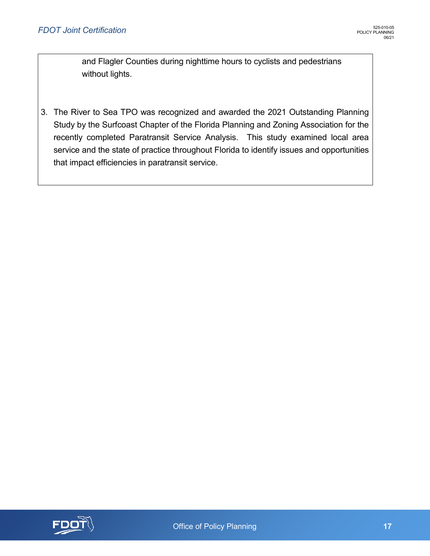and Flagler Counties during nighttime hours to cyclists and pedestrians without lights.

3. The River to Sea TPO was recognized and awarded the 2021 Outstanding Planning Study by the Surfcoast Chapter of the Florida Planning and Zoning Association for the recently completed Paratransit Service Analysis. This study examined local area service and the state of practice throughout Florida to identify issues and opportunities that impact efficiencies in paratransit service.

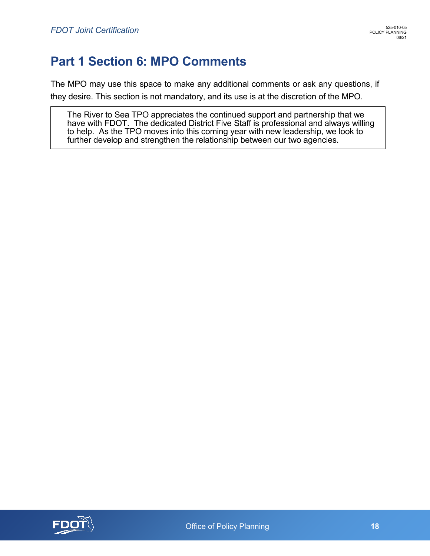# <span id="page-19-0"></span>**Part 1 Section 6: MPO Comments**

The MPO may use this space to make any additional comments or ask any questions, if they desire. This section is not mandatory, and its use is at the discretion of the MPO.

The River to Sea TPO appreciates the continued support and partnership that we have with FDOT. The dedicated District Five Staff is professional and always willing to help. As the TPO moves into this coming year with new leadership, we look to further develop and strengthen the relationship between our two agencies.

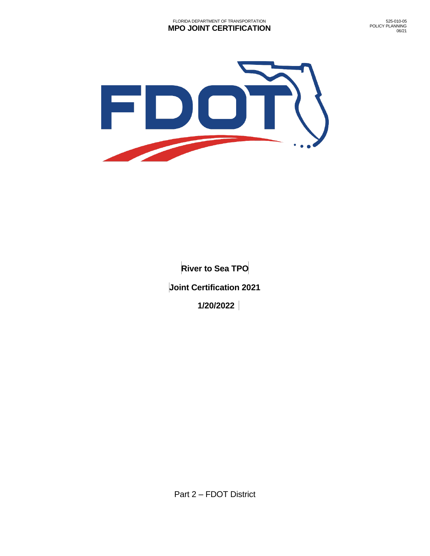

**River to Sea TPO Joint Certification 2021 1/20/2022**

Part 2 – FDOT District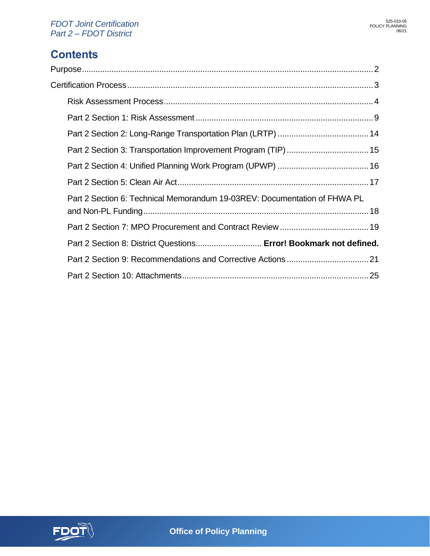### **Contents**

| Part 2 Section 6: Technical Memorandum 19-03REV: Documentation of FHWA PL |  |
|---------------------------------------------------------------------------|--|
|                                                                           |  |
|                                                                           |  |
| Part 2 Section 8: District Questions Error! Bookmark not defined.         |  |
|                                                                           |  |
|                                                                           |  |

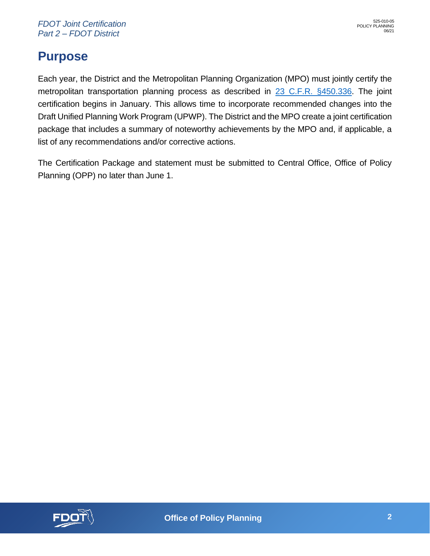# <span id="page-22-0"></span>**Purpose**

Each year, the District and the Metropolitan Planning Organization (MPO) must jointly certify the metropolitan transportation planning process as described in [23 C.F.R. §450.336.](https://www.ecfr.gov/cgi-bin/text-idx?SID=713f0f14d1bc99b15878c7759d1c7bdb&mc=true&node=se23.1.450_1336&rgn=div8) The joint certification begins in January. This allows time to incorporate recommended changes into the Draft Unified Planning Work Program (UPWP). The District and the MPO create a joint certification package that includes a summary of noteworthy achievements by the MPO and, if applicable, a list of any recommendations and/or corrective actions.

The Certification Package and statement must be submitted to Central Office, Office of Policy Planning (OPP) no later than June 1.

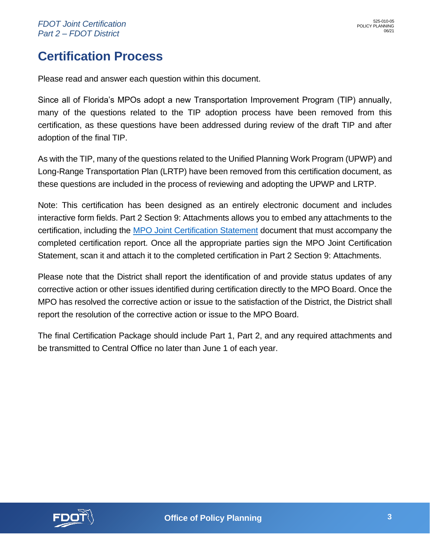## <span id="page-23-0"></span>**Certification Process**

Please read and answer each question within this document.

Since all of Florida's MPOs adopt a new Transportation Improvement Program (TIP) annually, many of the questions related to the TIP adoption process have been removed from this certification, as these questions have been addressed during review of the draft TIP and after adoption of the final TIP.

As with the TIP, many of the questions related to the Unified Planning Work Program (UPWP) and Long-Range Transportation Plan (LRTP) have been removed from this certification document, as these questions are included in the process of reviewing and adopting the UPWP and LRTP.

Note: This certification has been designed as an entirely electronic document and includes interactive form fields. Part 2 Section 9: Attachments allows you to embed any attachments to the certification, including the [MPO Joint Certification Statement](https://pdl.fdot.gov/api/form/downloadAttachment/10980767) document that must accompany the completed certification report. Once all the appropriate parties sign the MPO Joint Certification Statement, scan it and attach it to the completed certification in Part 2 Section 9: Attachments.

Please note that the District shall report the identification of and provide status updates of any corrective action or other issues identified during certification directly to the MPO Board. Once the MPO has resolved the corrective action or issue to the satisfaction of the District, the District shall report the resolution of the corrective action or issue to the MPO Board.

The final Certification Package should include Part 1, Part 2, and any required attachments and be transmitted to Central Office no later than June 1 of each year.

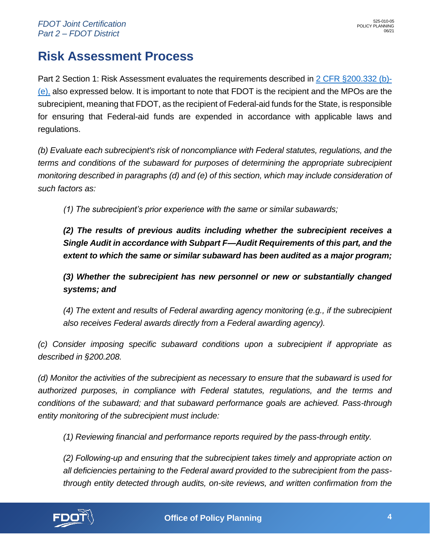## <span id="page-24-0"></span>**Risk Assessment Process**

Part 2 Section 1: Risk Assessment evaluates the requirements described in [2 CFR §200.332](https://www.ecfr.gov/cgi-bin/text-idx?SID=de45c8263805192235c5fa5f3ba1b723&node=se2.1.200_1332&rgn=div8) (b)- [\(e\),](https://www.ecfr.gov/cgi-bin/text-idx?SID=de45c8263805192235c5fa5f3ba1b723&node=se2.1.200_1332&rgn=div8) also expressed below. It is important to note that FDOT is the recipient and the MPOs are the subrecipient, meaning that FDOT, as the recipient of Federal-aid funds for the State, is responsible for ensuring that Federal-aid funds are expended in accordance with applicable laws and regulations.

*(b) Evaluate each subrecipient's risk of noncompliance with Federal statutes, regulations, and the terms and conditions of the subaward for purposes of determining the appropriate subrecipient monitoring described in paragraphs (d) and (e) of this section, which may include consideration of such factors as:*

*(1) The subrecipient's prior experience with the same or similar subawards;*

*(2) The results of previous audits including whether the subrecipient receives a Single Audit in accordance with Subpart F—Audit Requirements of this part, and the extent to which the same or similar subaward has been audited as a major program;*

*(3) Whether the subrecipient has new personnel or new or substantially changed systems; and*

*(4) The extent and results of Federal awarding agency monitoring (e.g., if the subrecipient also receives Federal awards directly from a Federal awarding agency).*

*(c) Consider imposing specific subaward conditions upon a subrecipient if appropriate as described in §200.208.*

*(d) Monitor the activities of the subrecipient as necessary to ensure that the subaward is used for authorized purposes, in compliance with Federal statutes, regulations, and the terms and conditions of the subaward; and that subaward performance goals are achieved. Pass-through entity monitoring of the subrecipient must include:* 

*(1) Reviewing financial and performance reports required by the pass-through entity.*

*(2) Following-up and ensuring that the subrecipient takes timely and appropriate action on all deficiencies pertaining to the Federal award provided to the subrecipient from the passthrough entity detected through audits, on-site reviews, and written confirmation from the* 

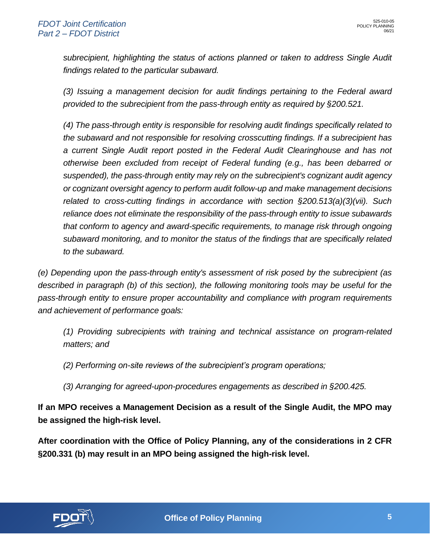*subrecipient, highlighting the status of actions planned or taken to address Single Audit findings related to the particular subaward.*

*(3) Issuing a management decision for audit findings pertaining to the Federal award provided to the subrecipient from the pass-through entity as required by §200.521.*

*(4) The pass-through entity is responsible for resolving audit findings specifically related to the subaward and not responsible for resolving crosscutting findings. If a subrecipient has a current Single Audit report posted in the Federal Audit Clearinghouse and has not otherwise been excluded from receipt of Federal funding (e.g., has been debarred or suspended), the pass-through entity may rely on the subrecipient's cognizant audit agency or cognizant oversight agency to perform audit follow-up and make management decisions related to cross-cutting findings in accordance with section §200.513(a)(3)(vii). Such reliance does not eliminate the responsibility of the pass-through entity to issue subawards that conform to agency and award-specific requirements, to manage risk through ongoing subaward monitoring, and to monitor the status of the findings that are specifically related to the subaward.*

*(e) Depending upon the pass-through entity's assessment of risk posed by the subrecipient (as*  described in paragraph (b) of this section), the following monitoring tools may be useful for the *pass-through entity to ensure proper accountability and compliance with program requirements and achievement of performance goals:*

*(1) Providing subrecipients with training and technical assistance on program-related matters; and* 

*(2) Performing on-site reviews of the subrecipient's program operations;*

*(3) Arranging for agreed-upon-procedures engagements as described in §200.425.*

**If an MPO receives a Management Decision as a result of the Single Audit, the MPO may be assigned the high-risk level.** 

**After coordination with the Office of Policy Planning, any of the considerations in 2 CFR §200.331 (b) may result in an MPO being assigned the high-risk level.** 

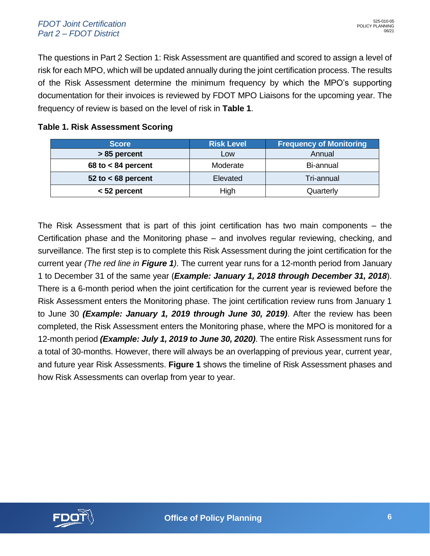#### *FDOT Joint Certification Part 2 – FDOT District*

The questions in Part 2 Section 1: Risk Assessment are quantified and scored to assign a level of risk for each MPO, which will be updated annually during the joint certification process. The results of the Risk Assessment determine the minimum frequency by which the MPO's supporting documentation for their invoices is reviewed by FDOT MPO Liaisons for the upcoming year. The frequency of review is based on the level of risk in **[Table 1](#page-26-0)**.

### <span id="page-26-0"></span>**Table 1. Risk Assessment Scoring**

| <b>Score</b>           | <b>Risk Level</b> | <b>Frequency of Monitoring</b> |
|------------------------|-------------------|--------------------------------|
| > 85 percent           | Low               | Annual                         |
| $68$ to $< 84$ percent | Moderate          | Bi-annual                      |
| 52 to $<$ 68 percent   | Elevated          | Tri-annual                     |
| $<$ 52 percent         | High              | Quarterly                      |

The Risk Assessment that is part of this joint certification has two main components – the Certification phase and the Monitoring phase – and involves regular reviewing, checking, and surveillance. The first step is to complete this Risk Assessment during the joint certification for the current year *(The red line in [Figure 1](#page-27-0))*. The current year runs for a 12-month period from January 1 to December 31 of the same year (*Example: January 1, 2018 through December 31, 2018*). There is a 6-month period when the joint certification for the current year is reviewed before the Risk Assessment enters the Monitoring phase. The joint certification review runs from January 1 to June 30 *(Example: January 1, 2019 through June 30, 2019)*. After the review has been completed, the Risk Assessment enters the Monitoring phase, where the MPO is monitored for a 12-month period *(Example: July 1, 2019 to June 30, 2020)*. The entire Risk Assessment runs for a total of 30-months. However, there will always be an overlapping of previous year, current year, and future year Risk Assessments. **[Figure 1](#page-27-0)** shows the timeline of Risk Assessment phases and how Risk Assessments can overlap from year to year.

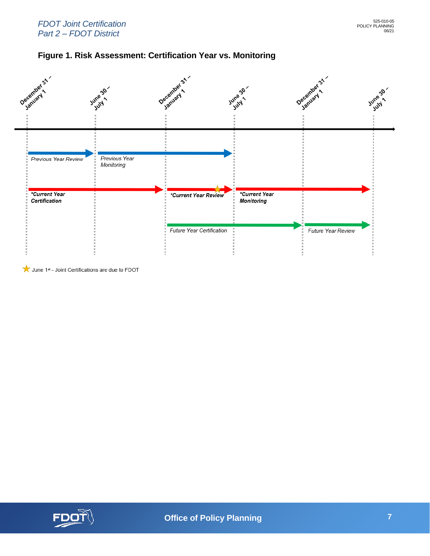#### *FDOT Joint Certification Part 2 – FDOT District*

<span id="page-27-0"></span>



June 1st - Joint Certifications are due to FDOT

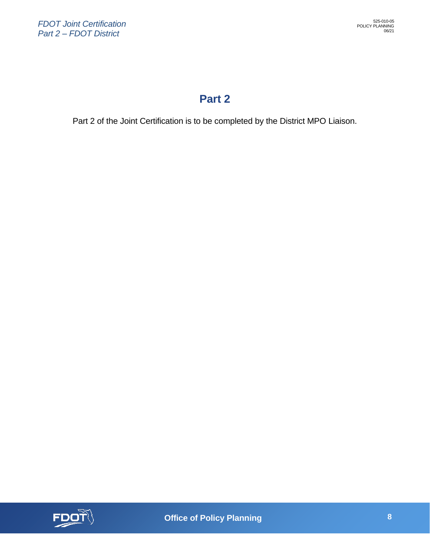### **Part 2**

Part 2 of the Joint Certification is to be completed by the District MPO Liaison.

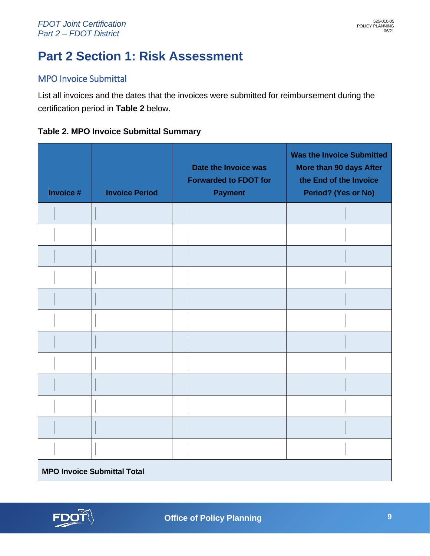# <span id="page-29-0"></span>**Part 2 Section 1: Risk Assessment**

### MPO Invoice Submittal

List all invoices and the dates that the invoices were submitted for reimbursement during the certification period in **[Table 2](#page-29-1)** below.

### <span id="page-29-1"></span>**Table 2. MPO Invoice Submittal Summary**

| Invoice #                          | <b>Invoice Period</b> | Date the Invoice was<br><b>Forwarded to FDOT for</b><br><b>Payment</b> | <b>Was the Invoice Submitted</b><br>More than 90 days After<br>the End of the Invoice<br>Period? (Yes or No) |
|------------------------------------|-----------------------|------------------------------------------------------------------------|--------------------------------------------------------------------------------------------------------------|
|                                    |                       |                                                                        |                                                                                                              |
|                                    |                       |                                                                        |                                                                                                              |
|                                    |                       |                                                                        |                                                                                                              |
|                                    |                       |                                                                        |                                                                                                              |
|                                    |                       |                                                                        |                                                                                                              |
|                                    |                       |                                                                        |                                                                                                              |
|                                    |                       |                                                                        |                                                                                                              |
|                                    |                       |                                                                        |                                                                                                              |
|                                    |                       |                                                                        |                                                                                                              |
|                                    |                       |                                                                        |                                                                                                              |
|                                    |                       |                                                                        |                                                                                                              |
|                                    |                       |                                                                        |                                                                                                              |
| <b>MPO Invoice Submittal Total</b> |                       |                                                                        |                                                                                                              |

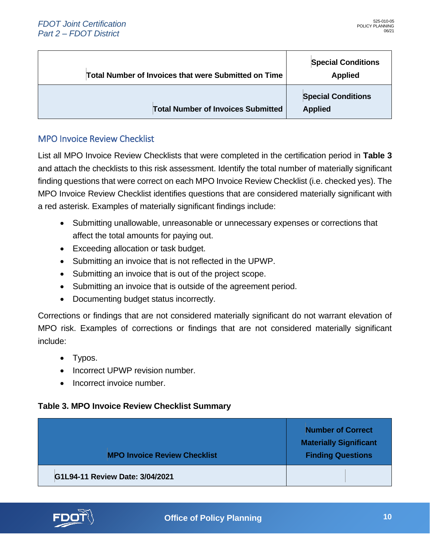| <b>Total Number of Invoices that were Submitted on Time</b> | <b>Special Conditions</b><br><b>Applied</b> |
|-------------------------------------------------------------|---------------------------------------------|
| <b>Total Number of Invoices Submitted</b>                   | <b>Special Conditions</b><br><b>Applied</b> |

### MPO Invoice Review Checklist

List all MPO Invoice Review Checklists that were completed in the certification period in **[Table 3](#page-30-0)** and attach the checklists to this risk assessment. Identify the total number of materially significant finding questions that were correct on each MPO Invoice Review Checklist (i.e. checked yes). The MPO Invoice Review Checklist identifies questions that are considered materially significant with a red asterisk. Examples of materially significant findings include:

- Submitting unallowable, unreasonable or unnecessary expenses or corrections that affect the total amounts for paying out.
- Exceeding allocation or task budget.
- Submitting an invoice that is not reflected in the UPWP.
- Submitting an invoice that is out of the project scope.
- Submitting an invoice that is outside of the agreement period.
- Documenting budget status incorrectly.

Corrections or findings that are not considered materially significant do not warrant elevation of MPO risk. Examples of corrections or findings that are not considered materially significant include:

- Typos.
- Incorrect UPWP revision number.
- Incorrect invoice number.

#### <span id="page-30-0"></span>**Table 3. MPO Invoice Review Checklist Summary**

| <b>MPO Invoice Review Checklist</b> | <b>Number of Correct</b><br><b>Materially Significant</b><br><b>Finding Questions</b> |
|-------------------------------------|---------------------------------------------------------------------------------------|
| G1L94-11 Review Date: 3/04/2021     |                                                                                       |

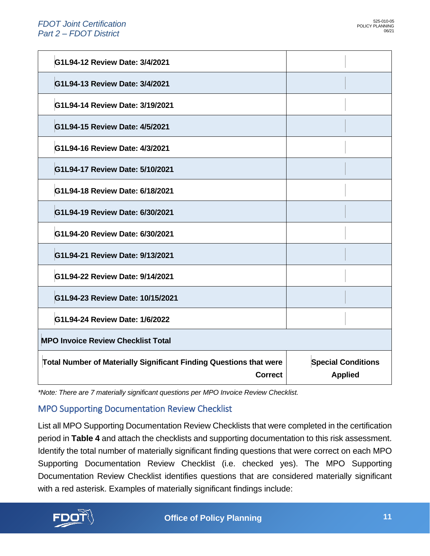| G1L94-12 Review Date: 3/4/2021                                                              |                                             |  |
|---------------------------------------------------------------------------------------------|---------------------------------------------|--|
| G1L94-13 Review Date: 3/4/2021                                                              |                                             |  |
| G1L94-14 Review Date: 3/19/2021                                                             |                                             |  |
| G1L94-15 Review Date: 4/5/2021                                                              |                                             |  |
| G1L94-16 Review Date: 4/3/2021                                                              |                                             |  |
| G1L94-17 Review Date: 5/10/2021                                                             |                                             |  |
| G1L94-18 Review Date: 6/18/2021                                                             |                                             |  |
| G1L94-19 Review Date: 6/30/2021                                                             |                                             |  |
| G1L94-20 Review Date: 6/30/2021                                                             |                                             |  |
| G1L94-21 Review Date: 9/13/2021                                                             |                                             |  |
| G1L94-22 Review Date: 9/14/2021                                                             |                                             |  |
| G1L94-23 Review Date: 10/15/2021                                                            |                                             |  |
| G1L94-24 Review Date: 1/6/2022                                                              |                                             |  |
| <b>MPO Invoice Review Checklist Total</b>                                                   |                                             |  |
| <b>Total Number of Materially Significant Finding Questions that were</b><br><b>Correct</b> | <b>Special Conditions</b><br><b>Applied</b> |  |

*\*Note: There are 7 materially significant questions per MPO Invoice Review Checklist.*

### MPO Supporting Documentation Review Checklist

List all MPO Supporting Documentation Review Checklists that were completed in the certification period in **[Table 4](#page-32-0)** and attach the checklists and supporting documentation to this risk assessment. Identify the total number of materially significant finding questions that were correct on each MPO Supporting Documentation Review Checklist (i.e. checked yes). The MPO Supporting Documentation Review Checklist identifies questions that are considered materially significant with a red asterisk. Examples of materially significant findings include:

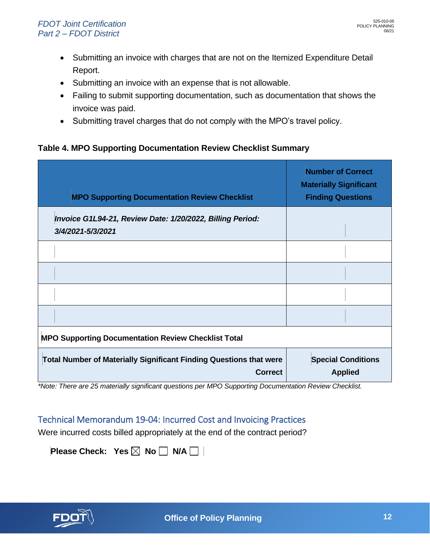- Submitting an invoice with charges that are not on the Itemized Expenditure Detail Report.
- Submitting an invoice with an expense that is not allowable.
- Failing to submit supporting documentation, such as documentation that shows the invoice was paid.
- Submitting travel charges that do not comply with the MPO's travel policy.

#### <span id="page-32-0"></span>**Table 4. MPO Supporting Documentation Review Checklist Summary**

| <b>MPO Supporting Documentation Review Checklist</b>                                        | <b>Number of Correct</b><br><b>Materially Significant</b><br><b>Finding Questions</b> |  |
|---------------------------------------------------------------------------------------------|---------------------------------------------------------------------------------------|--|
| Invoice G1L94-21, Review Date: 1/20/2022, Billing Period:<br>3/4/2021-5/3/2021              |                                                                                       |  |
|                                                                                             |                                                                                       |  |
|                                                                                             |                                                                                       |  |
|                                                                                             |                                                                                       |  |
|                                                                                             |                                                                                       |  |
| <b>MPO Supporting Documentation Review Checklist Total</b>                                  |                                                                                       |  |
| <b>Total Number of Materially Significant Finding Questions that were</b><br><b>Correct</b> | <b>Special Conditions</b><br><b>Applied</b>                                           |  |

*\*Note: There are 25 materially significant questions per MPO Supporting Documentation Review Checklist.*

### Technical Memorandum 19-04: Incurred Cost and Invoicing Practices

Were incurred costs billed appropriately at the end of the contract period?

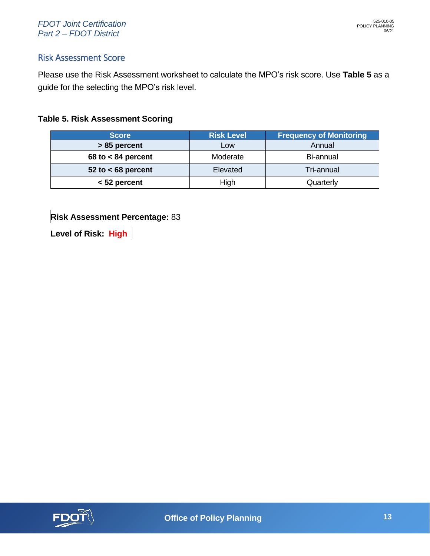#### *FDOT Joint Certification Part 2 – FDOT District*

### Risk Assessment Score

Please use the Risk Assessment worksheet to calculate the MPO's risk score. Use **[Table 5](#page-33-0)** as a guide for the selecting the MPO's risk level.

#### <span id="page-33-0"></span>**Table 5. Risk Assessment Scoring**

| <b>Score</b>         | <b>Risk Level</b> | <b>Frequency of Monitoring</b> |
|----------------------|-------------------|--------------------------------|
| > 85 percent         | Low               | Annual                         |
| 68 to $<$ 84 percent | Moderate          | Bi-annual                      |
| 52 to $<$ 68 percent | Elevated          | Tri-annual                     |
| $<$ 52 percent       | High              | Quarterly                      |

**Risk Assessment Percentage:** 83

**Level of Risk: High**

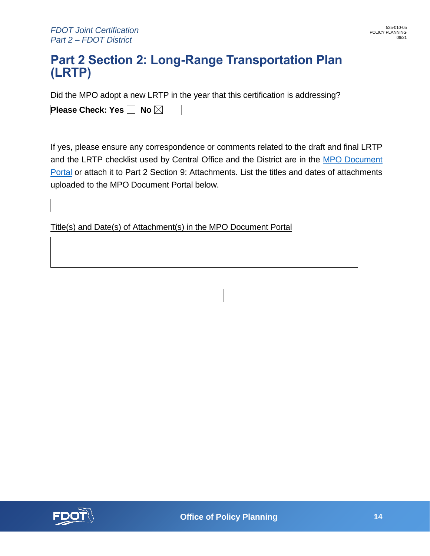### <span id="page-34-0"></span>**Part 2 Section 2: Long-Range Transportation Plan (LRTP)**

Did the MPO adopt a new LRTP in the year that this certification is addressing?

**Please Check: Yes** No  $\boxtimes$ 

If yes, please ensure any correspondence or comments related to the draft and final LRTP and the LRTP checklist used by Central Office and the District are in the [MPO Document](https://fldot.sharepoint.com/sites/FDOT-EXT-MPO/PDR)  [Portal](https://fldot.sharepoint.com/sites/FDOT-EXT-MPO/PDR) or attach it to Part 2 Section 9: Attachments. List the titles and dates of attachments uploaded to the MPO Document Portal below.

Title(s) and Date(s) of Attachment(s) in the MPO Document Portal

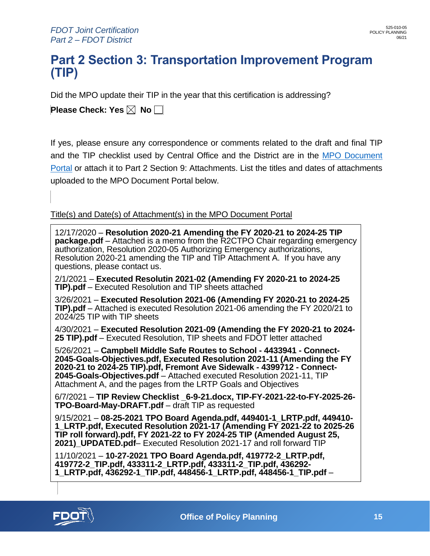### <span id="page-35-0"></span>**Part 2 Section 3: Transportation Improvement Program (TIP)**

Did the MPO update their TIP in the year that this certification is addressing?

**Please Check: Yes**  $\boxtimes$  **No**  $\Box$ 

If yes, please ensure any correspondence or comments related to the draft and final TIP and the TIP checklist used by Central Office and the District are in the [MPO Document](https://fldot.sharepoint.com/sites/FDOT-EXT-MPO/PDR)  [Portal](https://fldot.sharepoint.com/sites/FDOT-EXT-MPO/PDR) or attach it to Part 2 Section 9: Attachments. List the titles and dates of attachments uploaded to the MPO Document Portal below.

Title(s) and Date(s) of Attachment(s) in the MPO Document Portal

12/17/2020 – **Resolution 2020-21 Amending the FY 2020-21 to 2024-25 TIP package.pdf** – Attached is a memo from the R2CTPO Chair regarding emergency authorization, Resolution 2020-05 Authorizing Emergency authorizations, Resolution 2020-21 amending the TIP and TIP Attachment A. If you have any questions, please contact us. 2/1/2021 – **Executed Resolutin 2021-02 (Amending FY 2020-21 to 2024-25 TIP).pdf** – Executed Resolution and TIP sheets attached 3/26/2021 – **Executed Resolution 2021-06 (Amending FY 2020-21 to 2024-25 TIP).pdf** – Attached is executed Resolution 2021-06 amending the FY 2020/21 to 2024/25 TIP with TIP sheets 4/30/2021 – **Executed Resolution 2021-09 (Amending the FY 2020-21 to 2024- 25 TIP).pdf** – Executed Resolution, TIP sheets and FDOT letter attached 5/26/2021 – **Campbell Middle Safe Routes to School - 4433941 - Connect-2045-Goals-Objectives.pdf, Executed Resolution 2021-11 (Amending the FY 2020-21 to 2024-25 TIP).pdf, Fremont Ave Sidewalk - 4399712 - Connect-2045-Goals-Objectives.pdf** – Attached executed Resolution 2021-11, TIP Attachment A, and the pages from the LRTP Goals and Objectives 6/7/2021 – **TIP Review Checklist \_6-9-21.docx, TIP-FY-2021-22-to-FY-2025-26- TPO-Board-May-DRAFT.pdf** – draft TIP as requested 9/15/2021 – **08-25-2021 TPO Board Agenda.pdf, 449401-1\_LRTP.pdf, 449410- 1\_LRTP.pdf, Executed Resolution 2021-17 (Amending FY 2021-22 to 2025-26 TIP roll forward).pdf, FY 2021-22 to FY 2024-25 TIP (Amended August 25, 2021)\_UPDATED.pdf**– Executed Resolution 2021-17 and roll forward TIP 11/10/2021 – **10-27-2021 TPO Board Agenda.pdf, 419772-2\_LRTP.pdf, 419772-2\_TIP.pdf, 433311-2\_LRTP.pdf, 433311-2\_TIP.pdf, 436292-**

**1\_LRTP.pdf, 436292-1\_TIP.pdf, 448456-1\_LRTP.pdf, 448456-1\_TIP.pdf** –

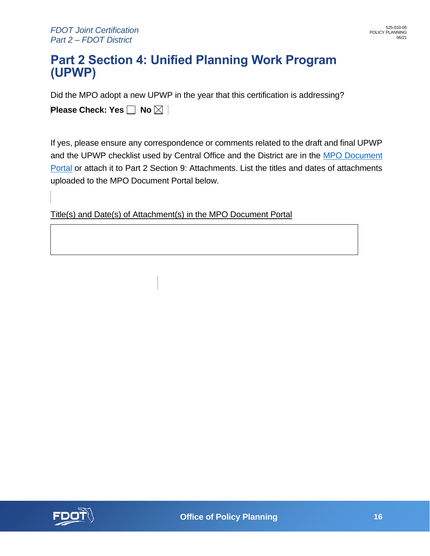### <span id="page-36-0"></span>**Part 2 Section 4: Unified Planning Work Program (UPWP)**

Did the MPO adopt a new UPWP in the year that this certification is addressing?

**Please Check: Yes | No**  $\boxtimes$  **|** 

If yes, please ensure any correspondence or comments related to the draft and final UPWP and the UPWP checklist used by Central Office and the District are in the [MPO Document](https://fldot.sharepoint.com/sites/FDOT-EXT-MPO/PDR)  [Portal](https://fldot.sharepoint.com/sites/FDOT-EXT-MPO/PDR) or attach it to Part 2 Section 9: Attachments. List the titles and dates of attachments uploaded to the MPO Document Portal below.

Title(s) and Date(s) of Attachment(s) in the MPO Document Portal

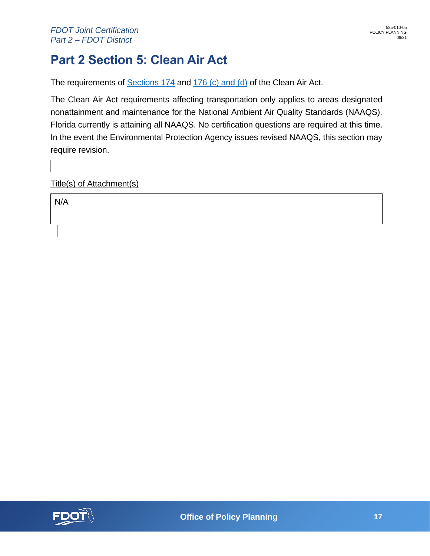## <span id="page-37-0"></span>**Part 2 Section 5: Clean Air Act**

The requirements of [Sections 174](https://www.ecfr.gov/cgi-bin/text-idx) and [176 \(c\) and \(d\)](https://www.gpo.gov/fdsys/pkg/USCODE-2013-title42/html/USCODE-2013-title42-chap85-subchapI-partD-subpart1-sec7506.htm) of the Clean Air Act.

The Clean Air Act requirements affecting transportation only applies to areas designated nonattainment and maintenance for the National Ambient Air Quality Standards (NAAQS). Florida currently is attaining all NAAQS. No certification questions are required at this time. In the event the Environmental Protection Agency issues revised NAAQS, this section may require revision.

Title(s) of Attachment(s)

N/A

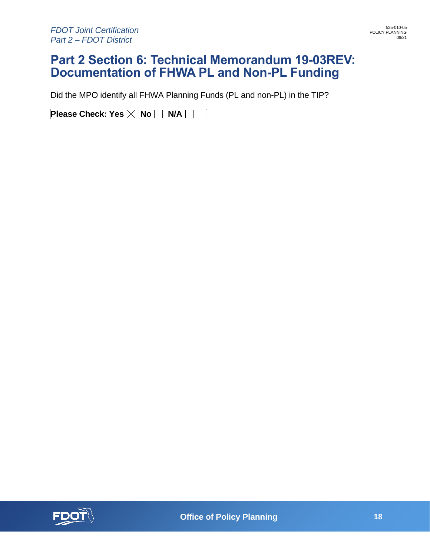### <span id="page-38-0"></span>**Part 2 Section 6: Technical Memorandum 19-03REV: Documentation of FHWA PL and Non-PL Funding**

Did the MPO identify all FHWA Planning Funds (PL and non-PL) in the TIP?

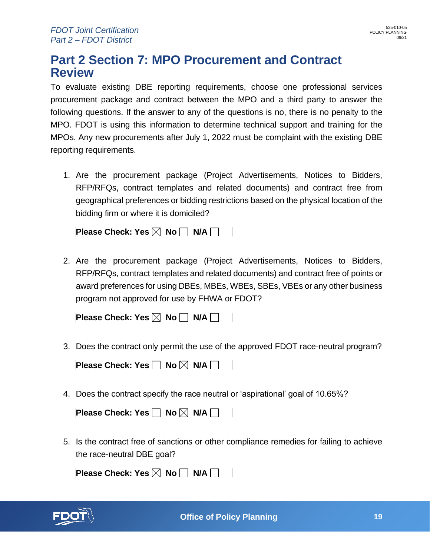### <span id="page-39-0"></span>**Part 2 Section 7: MPO Procurement and Contract Review**

To evaluate existing DBE reporting requirements, choose one professional services procurement package and contract between the MPO and a third party to answer the following questions. If the answer to any of the questions is no, there is no penalty to the MPO. FDOT is using this information to determine technical support and training for the MPOs. Any new procurements after July 1, 2022 must be complaint with the existing DBE reporting requirements.

1. Are the procurement package (Project Advertisements, Notices to Bidders, RFP/RFQs, contract templates and related documents) and contract free from geographical preferences or bidding restrictions based on the physical location of the bidding firm or where it is domiciled?

**Please Check: Yes**  $\boxtimes$  **No**  $\Box$  **N/A**  $\Box$ 

2. Are the procurement package (Project Advertisements, Notices to Bidders, RFP/RFQs, contract templates and related documents) and contract free of points or award preferences for using DBEs, MBEs, WBEs, SBEs, VBEs or any other business program not approved for use by FHWA or FDOT?

**Please Check: Yes**  $\boxtimes$  **No**  $\Box$  **N/A**  $\Box$ 

3. Does the contract only permit the use of the approved FDOT race-neutral program?

**Please Check: Yes**  $\Box$  **No**  $\boxtimes$  **N/A**  $\Box$ 

4. Does the contract specify the race neutral or 'aspirational' goal of 10.65%?

5. Is the contract free of sanctions or other compliance remedies for failing to achieve the race-neutral DBE goal?

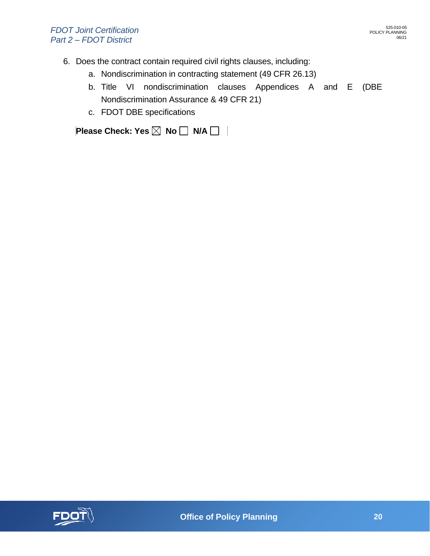- 6. Does the contract contain required civil rights clauses, including:
	- a. Nondiscrimination in contracting statement (49 CFR 26.13)
	- b. Title VI nondiscrimination clauses Appendices A and E (DBE Nondiscrimination Assurance & 49 CFR 21)
	- c. FDOT DBE specifications

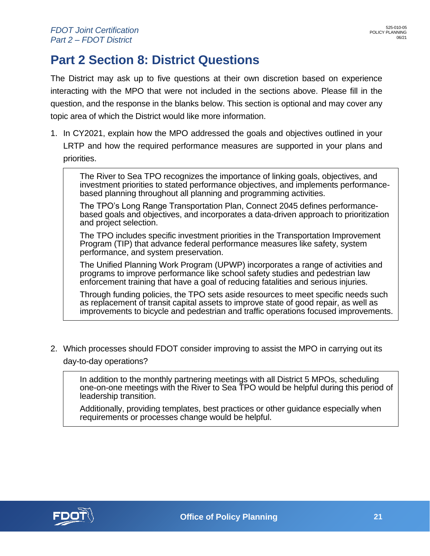## <span id="page-41-0"></span>**Part 2 Section 8: District Questions**

The District may ask up to five questions at their own discretion based on experience interacting with the MPO that were not included in the sections above. Please fill in the question, and the response in the blanks below. This section is optional and may cover any topic area of which the District would like more information.

1. In CY2021, explain how the MPO addressed the goals and objectives outlined in your LRTP and how the required performance measures are supported in your plans and priorities.

The River to Sea TPO recognizes the importance of linking goals, objectives, and investment priorities to stated performance objectives, and implements performancebased planning throughout all planning and programming activities.

The TPO's Long Range Transportation Plan, Connect 2045 defines performancebased goals and objectives, and incorporates a data-driven approach to prioritization and project selection.

The TPO includes specific investment priorities in the Transportation Improvement Program (TIP) that advance federal performance measures like safety, system performance, and system preservation.

The Unified Planning Work Program (UPWP) incorporates a range of activities and programs to improve performance like school safety studies and pedestrian law enforcement training that have a goal of reducing fatalities and serious injuries.

Through funding policies, the TPO sets aside resources to meet specific needs such as replacement of transit capital assets to improve state of good repair, as well as improvements to bicycle and pedestrian and traffic operations focused improvements.

2. Which processes should FDOT consider improving to assist the MPO in carrying out its day-to-day operations?

In addition to the monthly partnering meetings with all District 5 MPOs, scheduling one-on-one meetings with the River to Sea TPO would be helpful during this period of leadership transition.

Additionally, providing templates, best practices or other guidance especially when requirements or processes change would be helpful.

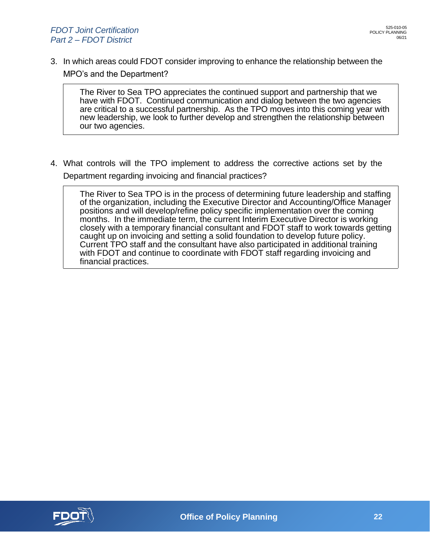3. In which areas could FDOT consider improving to enhance the relationship between the MPO's and the Department?

The River to Sea TPO appreciates the continued support and partnership that we have with FDOT. Continued communication and dialog between the two agencies are critical to a successful partnership. As the TPO moves into this coming year with new leadership, we look to further develop and strengthen the relationship between our two agencies.

4. What controls will the TPO implement to address the corrective actions set by the Department regarding invoicing and financial practices?

The River to Sea TPO is in the process of determining future leadership and staffing of the organization, including the Executive Director and Accounting/Office Manager positions and will develop/refine policy specific implementation over the coming months. In the immediate term, the current Interim Executive Director is working closely with a temporary financial consultant and FDOT staff to work towards getting caught up on invoicing and setting a solid foundation to develop future policy. Current TPO staff and the consultant have also participated in additional training with FDOT and continue to coordinate with FDOT staff regarding invoicing and financial practices.

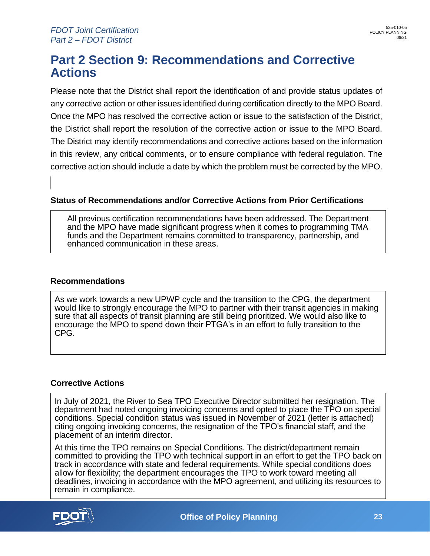### **Part 2 Section 9: Recommendations and Corrective Actions**

Please note that the District shall report the identification of and provide status updates of any corrective action or other issues identified during certification directly to the MPO Board. Once the MPO has resolved the corrective action or issue to the satisfaction of the District, the District shall report the resolution of the corrective action or issue to the MPO Board. The District may identify recommendations and corrective actions based on the information in this review, any critical comments, or to ensure compliance with federal regulation. The corrective action should include a date by which the problem must be corrected by the MPO.

#### **Status of Recommendations and/or Corrective Actions from Prior Certifications**

All previous certification recommendations have been addressed. The Department and the MPO have made significant progress when it comes to programming TMA funds and the Department remains committed to transparency, partnership, and enhanced communication in these areas.

#### **Recommendations**

As we work towards a new UPWP cycle and the transition to the CPG, the department would like to strongly encourage the MPO to partner with their transit agencies in making sure that all aspects of transit planning are still being prioritized. We would also like to encourage the MPO to spend down their PTGA's in an effort to fully transition to the CPG.

#### **Corrective Actions**

In July of 2021, the River to Sea TPO Executive Director submitted her resignation. The department had noted ongoing invoicing concerns and opted to place the TPO on special conditions. Special condition status was issued in November of 2021 (letter is attached) citing ongoing invoicing concerns, the resignation of the TPO's financial staff, and the placement of an interim director.

At this time the TPO remains on Special Conditions. The district/department remain committed to providing the TPO with technical support in an effort to get the TPO back on track in accordance with state and federal requirements. While special conditions does allow for flexibility; the department encourages the TPO to work toward meeting all deadlines, invoicing in accordance with the MPO agreement, and utilizing its resources to remain in compliance.

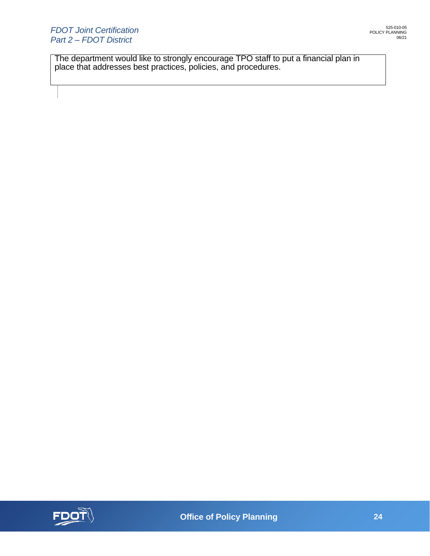The department would like to strongly encourage TPO staff to put a financial plan in place that addresses best practices, policies, and procedures.

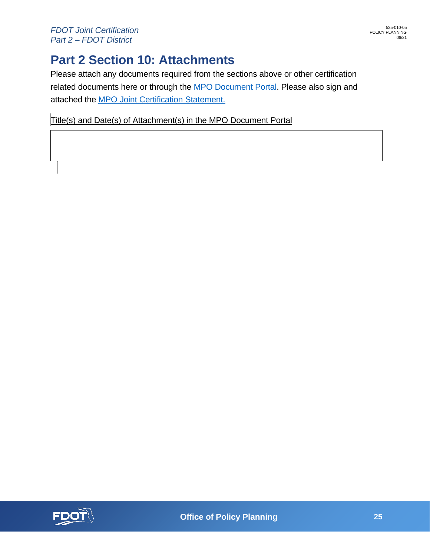## <span id="page-45-0"></span>**Part 2 Section 10: Attachments**

Please attach any documents required from the sections above or other certification related documents here or through the [MPO Document Portal.](https://fldot.sharepoint.com/sites/FDOT-EXT-MPO/PDR) Please also sign and attached the [MPO Joint Certification Statement.](https://pdl.fdot.gov/api/form/downloadAttachment/10980767)

Title(s) and Date(s) of Attachment(s) in the MPO Document Portal

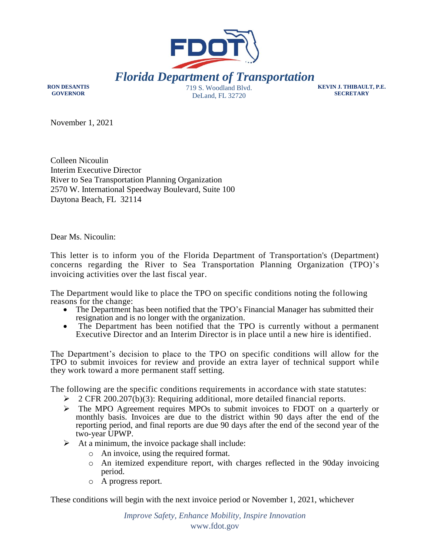

**RON DESANTIS GOVERNOR**

DeLand, FL 32720

**KEVIN J. THIBAULT, P.E. SECRETARY**

November 1, 2021

Colleen Nicoulin Interim Executive Director River to Sea Transportation Planning Organization 2570 W. International Speedway Boulevard, Suite 100 Daytona Beach, FL 32114

Dear Ms. Nicoulin:

This letter is to inform you of the Florida Department of Transportation's (Department) concerns regarding the River to Sea Transportation Planning Organization (TPO)'s invoicing activities over the last fiscal year.

The Department would like to place the TPO on specific conditions noting the following reasons for the change:

- The Department has been notified that the TPO's Financial Manager has submitted their resignation and is no longer with the organization.
- The Department has been notified that the TPO is currently without a permanent Executive Director and an Interim Director is in place until a new hire is identified.

The Department's decision to place to the TPO on specific conditions will allow for the TPO to submit invoices for review and provide an extra layer of technical support while they work toward a more permanent staff setting.

The following are the specific conditions requirements in accordance with state statutes:

- $\geq 2$  CFR 200.207(b)(3): Requiring additional, more detailed financial reports.
- $\triangleright$  The MPO Agreement requires MPOs to submit invoices to FDOT on a quarterly or monthly basis. Invoices are due to the district within 90 days after the end of the reporting period, and final reports are due 90 days after the end of the second year of the two-year UPWP.
- $\triangleright$  At a minimum, the invoice package shall include:
	- o An invoice, using the required format.
	- o An itemized expenditure report, with charges reflected in the 90day invoicing period.
	- o A progress report.

These conditions will begin with the next invoice period or November 1, 2021, whichever

*Improve Safety, Enhance Mobility, Inspire Innovation* www.fdot.gov